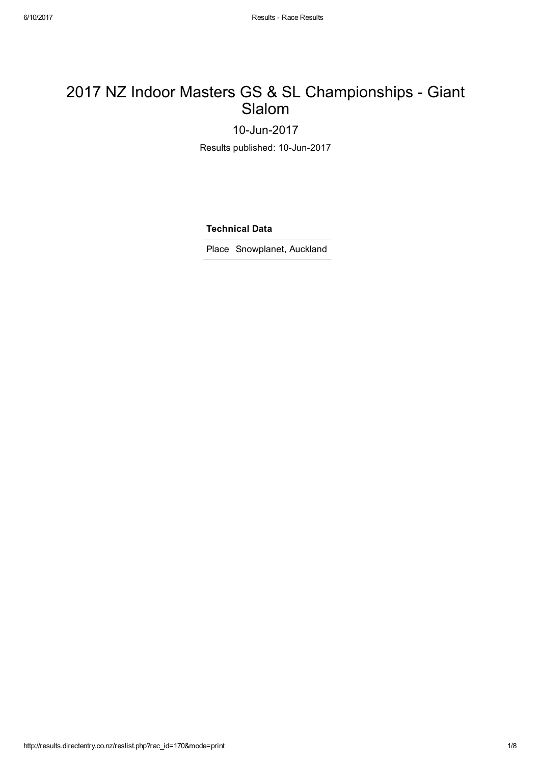## 2017 NZ Indoor Masters GS & SL Championships - Giant Slalom

10-Jun-2017

Results published: 10-Jun-2017

Technical Data

Place Snowplanet, Auckland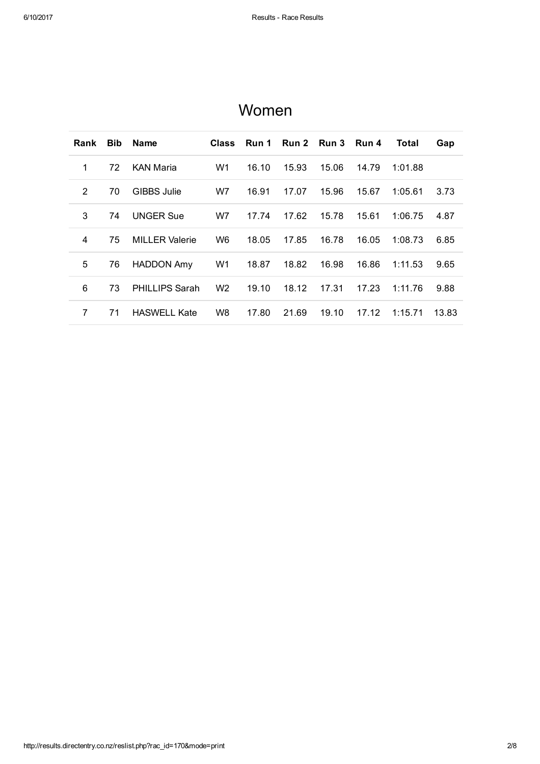| Rank | <b>Bib</b> | <b>Name</b>           | <b>Class</b>   | Run 1 |       | Run 2 Run 3 | Run 4 | Total   | Gap   |
|------|------------|-----------------------|----------------|-------|-------|-------------|-------|---------|-------|
| 1    | 72         | <b>KAN Maria</b>      | W1             | 16.10 | 15.93 | 15.06       | 14.79 | 1:01.88 |       |
| 2    | 70         | <b>GIBBS Julie</b>    | W7             | 16.91 | 17.07 | 15.96       | 15.67 | 1:05.61 | 3.73  |
| 3    | 74         | <b>UNGER Sue</b>      | W7             | 17.74 | 17.62 | 15.78       | 15.61 | 1:06.75 | 4.87  |
| 4    | 75         | <b>MILLER Valerie</b> | W6             | 18.05 | 17.85 | 16.78       | 16.05 | 1:08.73 | 6.85  |
| 5    | 76         | <b>HADDON Amy</b>     | W1             | 18.87 | 18.82 | 16.98       | 16.86 | 1:11.53 | 9.65  |
| 6    | 73         | <b>PHILLIPS Sarah</b> | W <sub>2</sub> | 19.10 | 18.12 | 17.31       | 17.23 | 1:11.76 | 9.88  |
| 7    | 71         | <b>HASWELL Kate</b>   | W8             | 17.80 | 21.69 | 19.10       | 17.12 | 1:15.71 | 13.83 |

### Women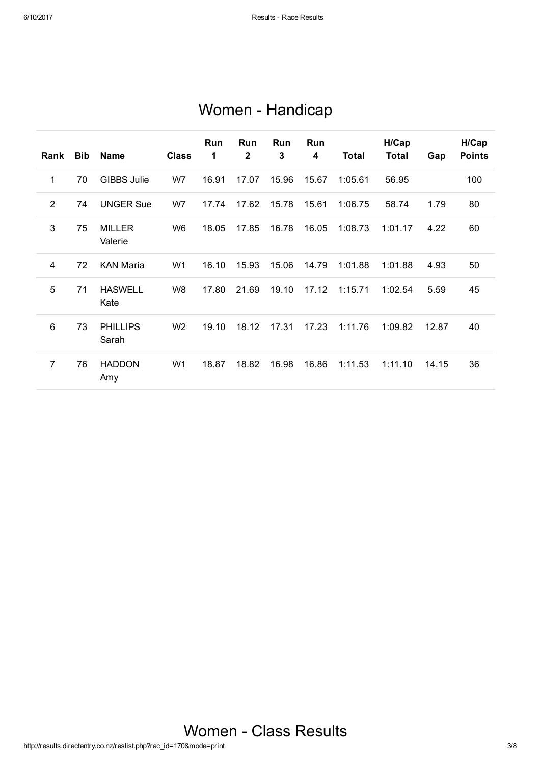# Women - Handicap

| Rank           | <b>Bib</b> | <b>Name</b>              | <b>Class</b>   | <b>Run</b><br>1 | Run<br>2 | <b>Run</b><br>3 | Run<br>4 | <b>Total</b> | H/Cap<br><b>Total</b> | Gap   | H/Cap<br><b>Points</b> |
|----------------|------------|--------------------------|----------------|-----------------|----------|-----------------|----------|--------------|-----------------------|-------|------------------------|
| 1              | 70         | <b>GIBBS Julie</b>       | W7             | 16.91           | 17.07    | 15.96           | 15.67    | 1:05.61      | 56.95                 |       | 100                    |
| $\overline{2}$ | 74         | <b>UNGER Sue</b>         | W7             | 17.74           | 17.62    | 15.78           | 15.61    | 1:06.75      | 58.74                 | 1.79  | 80                     |
| 3              | 75         | <b>MILLER</b><br>Valerie | W <sub>6</sub> | 18.05           | 17.85    | 16.78           | 16.05    | 1:08.73      | 1:01.17               | 4.22  | 60                     |
| 4              | 72         | <b>KAN Maria</b>         | W <sub>1</sub> | 16.10           | 15.93    | 15.06           | 14.79    | 1:01.88      | 1:01.88               | 4.93  | 50                     |
| 5              | 71         | <b>HASWELL</b><br>Kate   | W <sub>8</sub> | 17.80           | 21.69    | 19.10           | 17.12    | 1:15.71      | 1:02.54               | 5.59  | 45                     |
| $6\phantom{1}$ | 73         | <b>PHILLIPS</b><br>Sarah | W <sub>2</sub> | 19.10           | 18.12    | 17.31           | 17.23    | 1:11.76      | 1:09.82               | 12.87 | 40                     |
| $\overline{7}$ | 76         | <b>HADDON</b><br>Amy     | W <sub>1</sub> | 18.87           | 18.82    | 16.98           | 16.86    | 1:11.53      | 1:11.10               | 14.15 | 36                     |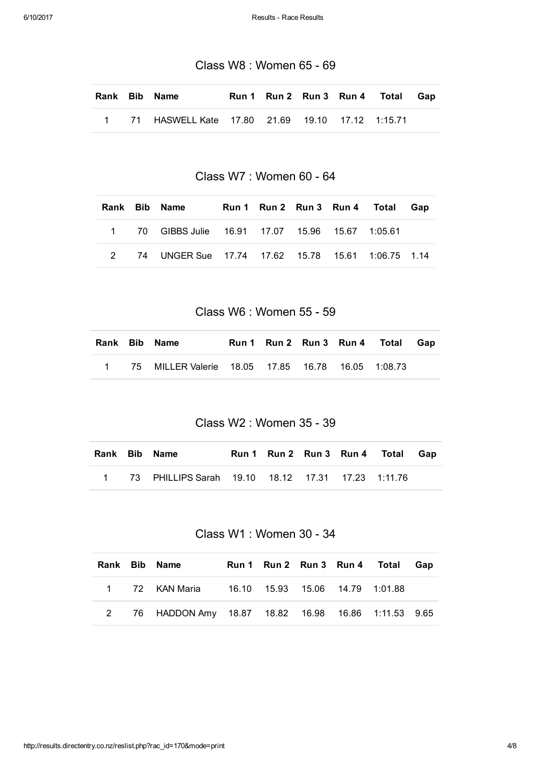Class W8 : Women 65 - 69

|  | Rank Bib Name                                          |  |  | Run 1 Run 2 Run 3 Run 4 Total Gap |  |
|--|--------------------------------------------------------|--|--|-----------------------------------|--|
|  | 1 71 HASWELL Kate  17.80  21.69  19.10  17.12  1:15.71 |  |  |                                   |  |

Class W7 : Women 60 - 64

|  | Rank Bib Name                                       |  |  | Run 1 Run 2 Run 3 Run 4 Total Gap |  |
|--|-----------------------------------------------------|--|--|-----------------------------------|--|
|  | 1 70 GIBBS Julie 16.91 17.07 15.96 15.67 1:05.61    |  |  |                                   |  |
|  | 2 74 UNGER Sue 17.74 17.62 15.78 15.61 1:06.75 1.14 |  |  |                                   |  |

Class W6 : Women 55 - 59

|  | Rank Bib Name                                       |  |  | Run 1 Run 2 Run 3 Run 4 Total Gap |  |
|--|-----------------------------------------------------|--|--|-----------------------------------|--|
|  | 1 75 MILLER Valerie 18.05 17.85 16.78 16.05 1:08.73 |  |  |                                   |  |

Class W2 : Women 35 - 39

|  | Rank Bib Name                                       |  |  | Run 1 Run 2 Run 3 Run 4 Total Gap |  |
|--|-----------------------------------------------------|--|--|-----------------------------------|--|
|  | 1 73 PHILLIPS Sarah 19.10 18.12 17.31 17.23 1:11.76 |  |  |                                   |  |

Class W1 : Women 30 - 34

|  | Rank Bib Name                                        |  |  | Run 1 Run 2 Run 3 Run 4 Total | Gap |
|--|------------------------------------------------------|--|--|-------------------------------|-----|
|  | 1 72 KAN Maria 16.10 15.93 15.06 14.79 1:01.88       |  |  |                               |     |
|  | 2 76 HADDON Amy 18.87 18.82 16.98 16.86 1:11.53 9.65 |  |  |                               |     |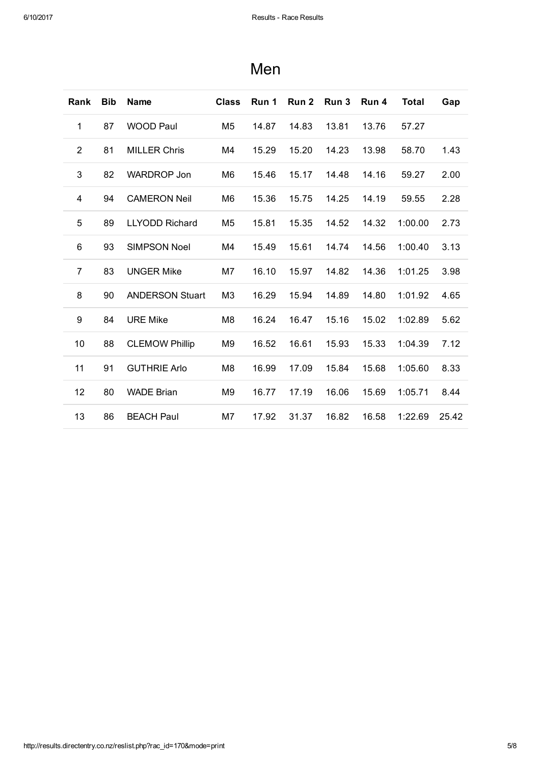| <b>Rank</b>    | <b>Bib</b> | <b>Name</b>            | <b>Class</b>   | Run 1 | Run 2 | Run 3 | Run 4 | <b>Total</b> | Gap   |
|----------------|------------|------------------------|----------------|-------|-------|-------|-------|--------------|-------|
| 1              | 87         | <b>WOOD Paul</b>       | M5             | 14.87 | 14.83 | 13.81 | 13.76 | 57.27        |       |
| $\overline{2}$ | 81         | <b>MILLER Chris</b>    | M4             | 15.29 | 15.20 | 14.23 | 13.98 | 58.70        | 1.43  |
| 3              | 82         | <b>WARDROP Jon</b>     | M6             | 15.46 | 15.17 | 14.48 | 14.16 | 59.27        | 2.00  |
| 4              | 94         | <b>CAMERON Neil</b>    | M6             | 15.36 | 15.75 | 14.25 | 14.19 | 59.55        | 2.28  |
| 5              | 89         | <b>LLYODD Richard</b>  | M5             | 15.81 | 15.35 | 14.52 | 14.32 | 1:00.00      | 2.73  |
| 6              | 93         | <b>SIMPSON Noel</b>    | M4             | 15.49 | 15.61 | 14.74 | 14.56 | 1:00.40      | 3.13  |
| $\overline{7}$ | 83         | <b>UNGER Mike</b>      | M7             | 16.10 | 15.97 | 14.82 | 14.36 | 1:01.25      | 3.98  |
| 8              | 90         | <b>ANDERSON Stuart</b> | M3             | 16.29 | 15.94 | 14.89 | 14.80 | 1:01.92      | 4.65  |
| 9              | 84         | <b>URE Mike</b>        | M <sub>8</sub> | 16.24 | 16.47 | 15.16 | 15.02 | 1:02.89      | 5.62  |
| 10             | 88         | <b>CLEMOW Phillip</b>  | M9             | 16.52 | 16.61 | 15.93 | 15.33 | 1:04.39      | 7.12  |
| 11             | 91         | <b>GUTHRIE Arlo</b>    | M <sub>8</sub> | 16.99 | 17.09 | 15.84 | 15.68 | 1:05.60      | 8.33  |
| 12             | 80         | <b>WADE Brian</b>      | M <sub>9</sub> | 16.77 | 17.19 | 16.06 | 15.69 | 1:05.71      | 8.44  |
| 13             | 86         | <b>BEACH Paul</b>      | M7             | 17.92 | 31.37 | 16.82 | 16.58 | 1:22.69      | 25.42 |

## Men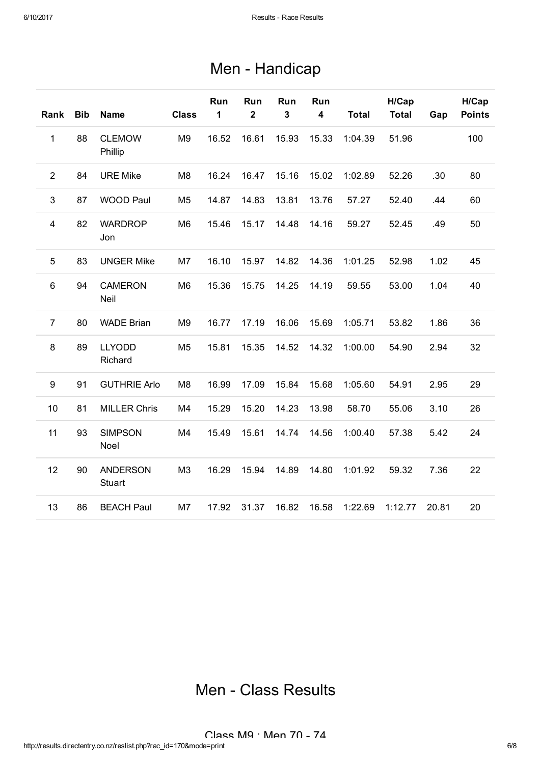# Men - Handicap

| Rank           | <b>Bib</b> | <b>Name</b>                      | <b>Class</b>   | Run<br>1 | Run<br>$\overline{\mathbf{2}}$ | Run<br>$\mathbf{3}$ | Run<br>4 | <b>Total</b> | H/Cap<br><b>Total</b> | Gap   | H/Cap<br><b>Points</b> |
|----------------|------------|----------------------------------|----------------|----------|--------------------------------|---------------------|----------|--------------|-----------------------|-------|------------------------|
| 1              | 88         | <b>CLEMOW</b><br>Phillip         | M <sub>9</sub> | 16.52    | 16.61                          | 15.93               | 15.33    | 1:04.39      | 51.96                 |       | 100                    |
| 2              | 84         | <b>URE Mike</b>                  | M <sub>8</sub> | 16.24    | 16.47                          | 15.16               | 15.02    | 1:02.89      | 52.26                 | .30   | 80                     |
| $\mathbf{3}$   | 87         | <b>WOOD Paul</b>                 | M5             | 14.87    | 14.83                          | 13.81               | 13.76    | 57.27        | 52.40                 | .44   | 60                     |
| $\overline{4}$ | 82         | <b>WARDROP</b><br>Jon            | M <sub>6</sub> | 15.46    | 15.17                          | 14.48               | 14.16    | 59.27        | 52.45                 | .49   | 50                     |
| 5              | 83         | <b>UNGER Mike</b>                | M7             | 16.10    | 15.97                          | 14.82               | 14.36    | 1:01.25      | 52.98                 | 1.02  | 45                     |
| $\,6$          | 94         | <b>CAMERON</b><br>Neil           | M <sub>6</sub> | 15.36    | 15.75                          | 14.25               | 14.19    | 59.55        | 53.00                 | 1.04  | 40                     |
| $\overline{7}$ | 80         | <b>WADE Brian</b>                | M <sub>9</sub> | 16.77    | 17.19                          | 16.06               | 15.69    | 1:05.71      | 53.82                 | 1.86  | 36                     |
| 8              | 89         | <b>LLYODD</b><br>Richard         | M <sub>5</sub> | 15.81    | 15.35                          | 14.52               | 14.32    | 1:00.00      | 54.90                 | 2.94  | 32                     |
| 9              | 91         | <b>GUTHRIE Arlo</b>              | M <sub>8</sub> | 16.99    | 17.09                          | 15.84               | 15.68    | 1:05.60      | 54.91                 | 2.95  | 29                     |
| 10             | 81         | <b>MILLER Chris</b>              | M4             | 15.29    | 15.20                          | 14.23               | 13.98    | 58.70        | 55.06                 | 3.10  | 26                     |
| 11             | 93         | <b>SIMPSON</b><br>Noel           | M4             | 15.49    | 15.61                          | 14.74               | 14.56    | 1:00.40      | 57.38                 | 5.42  | 24                     |
| 12             | 90         | <b>ANDERSON</b><br><b>Stuart</b> | M <sub>3</sub> | 16.29    | 15.94                          | 14.89               | 14.80    | 1:01.92      | 59.32                 | 7.36  | 22                     |
| 13             | 86         | <b>BEACH Paul</b>                | M7             | 17.92    | 31.37                          | 16.82               | 16.58    | 1:22.69      | 1:12.77               | 20.81 | 20                     |

Men - Class Results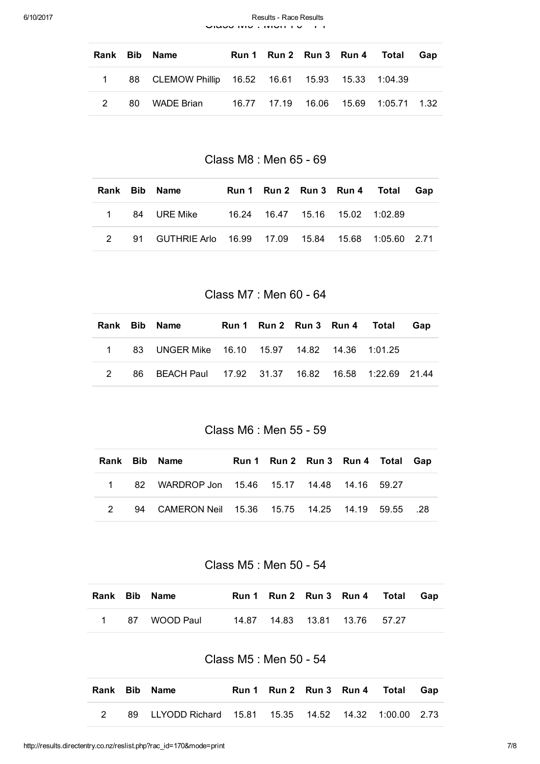|  | Rank Bib Name                                       |  |  | Run 1 Run 2 Run 3 Run 4 Total Gap |  |
|--|-----------------------------------------------------|--|--|-----------------------------------|--|
|  | 1 88 CLEMOW Phillip 16.52 16.61 15.93 15.33 1:04.39 |  |  |                                   |  |
|  | 2 80 WADE Brian                                     |  |  |                                   |  |

Class M8 : Men 65 - 69

|  | Rank Bib Name |  |  | Run 1 Run 2 Run 3 Run 4 Total | Gap |
|--|---------------|--|--|-------------------------------|-----|
|  |               |  |  |                               |     |
|  |               |  |  |                               |     |

Class M7 : Men 60 - 64

|  | Rank Bib Name                                       | Run 1 Run 2 Run 3 Run 4 Total |  | Gap |
|--|-----------------------------------------------------|-------------------------------|--|-----|
|  | 1 83 UNGER Mike 16.10 15.97 14.82 14.36 1:01.25     |                               |  |     |
|  | 86 BEACH Paul 17.92 31.37 16.82 16.58 1:22.69 21.44 |                               |  |     |

Class M6 : Men 55 - 59

|  | Rank Bib Name                                     | Run 1 Run 2 Run 3 Run 4 Total Gap |  |  |
|--|---------------------------------------------------|-----------------------------------|--|--|
|  | 1 82 WARDROP Jon 15.46 15.17 14.48 14.16 59.27    |                                   |  |  |
|  | 94 CAMERON Neil 15.36 15.75 14.25 14.19 59.55 .28 |                                   |  |  |

Class M5 : Men 50 - 54

|  | Rank Bib Name  |  | Run 1 Run 2 Run 3 Run 4 Total Gap |  |
|--|----------------|--|-----------------------------------|--|
|  | 1 87 WOOD Paul |  | 14.87  14.83  13.81  13.76  57.27 |  |

#### Class M5 : Men 50 - 54

|  | Rank Bib Name                                                |  |  | Run 1 Run 2 Run 3 Run 4 Total Gap |  |
|--|--------------------------------------------------------------|--|--|-----------------------------------|--|
|  | 89 LLYODD Richard  15.81  15.35  14.52  14.32  1:00.00  2.73 |  |  |                                   |  |